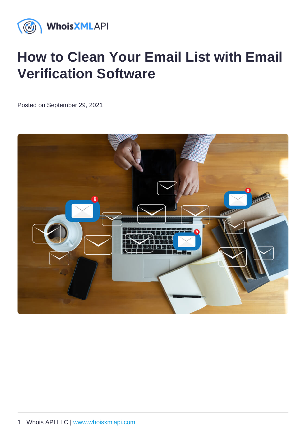# How to Clean Your Email List with Email Verification Software

Posted on September 29, 2021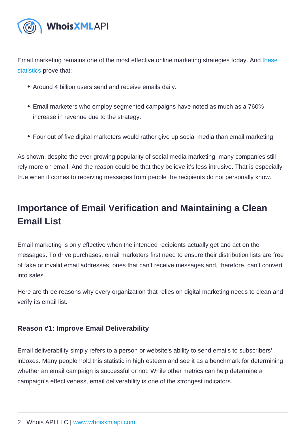Email marketing remains one of the most effective online marketing strategies today. And [these](https://blog.hubspot.com/marketing/email-marketing-stats)  [statistics](https://blog.hubspot.com/marketing/email-marketing-stats) prove that:

- Around 4 billion users send and receive emails daily.
- Email marketers who employ segmented campaigns have noted as much as a 760% increase in revenue due to the strategy.
- Four out of five digital marketers would rather give up social media than email marketing.

As shown, despite the ever-growing popularity of social media marketing, many companies still rely more on email. And the reason could be that they believe it's less intrusive. That is especially true when it comes to receiving messages from people the recipients do not personally know.

# Importance of Email Verification and Maintaining a Clean Email List

Email marketing is only effective when the intended recipients actually get and act on the messages. To drive purchases, email marketers first need to ensure their distribution lists are free of fake or invalid email addresses, ones that can't receive messages and, therefore, can't convert into sales.

Here are three reasons why every organization that relies on digital marketing needs to clean and verify its email list.

### Reason #1: Improve Email Deliverability

Email deliverability simply refers to a person or website's ability to send emails to subscribers' inboxes. Many people hold this statistic in high esteem and see it as a benchmark for determining whether an email campaign is successful or not. While other metrics can help determine a campaign's effectiveness, email deliverability is one of the strongest indicators.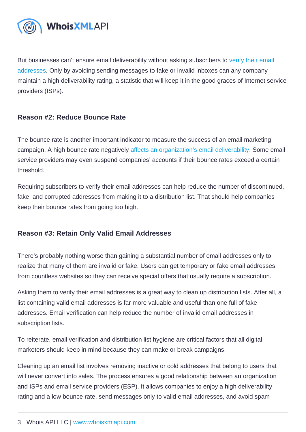But businesses can't ensure email deliverability without asking subscribers to [verify their email](https://emailverification.whoisxmlapi.com/blog/why-use-e-mail-verification)  [addresses](https://emailverification.whoisxmlapi.com/blog/why-use-e-mail-verification). Only by avoiding sending messages to fake or invalid inboxes can any company maintain a high deliverability rating, a statistic that will keep it in the good graces of Internet service providers (ISPs).

### Reason #2: Reduce Bounce Rate

The bounce rate is another important indicator to measure the success of an email marketing campaign. A high bounce rate negatively [affects an organization's email deliverability.](https://emailverification.whoisxmlapi.com/blog/why-you-need-to-validate-your-mailing-list) Some email service providers may even suspend companies' accounts if their bounce rates exceed a certain threshold.

Requiring subscribers to verify their email addresses can help reduce the number of discontinued, fake, and corrupted addresses from making it to a distribution list. That should help companies keep their bounce rates from going too high.

### Reason #3: Retain Only Valid Email Addresses

There's probably nothing worse than gaining a substantial number of email addresses only to realize that many of them are invalid or fake. Users can get temporary or fake email addresses from countless websites so they can receive special offers that usually require a subscription.

Asking them to verify their email addresses is a great way to clean up distribution lists. After all, a list containing valid email addresses is far more valuable and useful than one full of fake addresses. Email verification can help reduce the number of invalid email addresses in subscription lists.

To reiterate, email verification and distribution list hygiene are critical factors that all digital marketers should keep in mind because they can make or break campaigns.

Cleaning up an email list involves removing inactive or cold addresses that belong to users that will never convert into sales. The process ensures a good relationship between an organization and ISPs and email service providers (ESP). It allows companies to enjoy a high deliverability rating and a low bounce rate, send messages only to valid email addresses, and avoid spam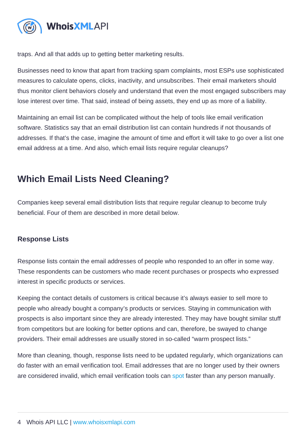traps. And all that adds up to getting better marketing results.

Businesses need to know that apart from tracking spam complaints, most ESPs use sophisticated measures to calculate opens, clicks, inactivity, and unsubscribes. Their email marketers should thus monitor client behaviors closely and understand that even the most engaged subscribers may lose interest over time. That said, instead of being assets, they end up as more of a liability.

Maintaining an email list can be complicated without the help of tools like email verification software. Statistics say that an email distribution list can contain hundreds if not thousands of addresses. If that's the case, imagine the amount of time and effort it will take to go over a list one email address at a time. And also, which email lists require regular cleanups?

## Which Email Lists Need Cleaning?

Companies keep several email distribution lists that require regular cleanup to become truly beneficial. Four of them are described in more detail below.

### Response Lists

Response lists contain the email addresses of people who responded to an offer in some way. These respondents can be customers who made recent purchases or prospects who expressed interest in specific products or services.

Keeping the contact details of customers is critical because it's always easier to sell more to people who already bought a company's products or services. Staying in communication with prospects is also important since they are already interested. They may have bought similar stuff from competitors but are looking for better options and can, therefore, be swayed to change providers. Their email addresses are usually stored in so-called "warm prospect lists."

More than cleaning, though, response lists need to be updated regularly, which organizations can do faster with an email verification tool. Email addresses that are no longer used by their owners are considered invalid, which email verification tools can [spot](https://emailverification.whoisxmlapi.com/blog/what-is-email-verification-or-validation-and-how-does-it-work) faster than any person manually.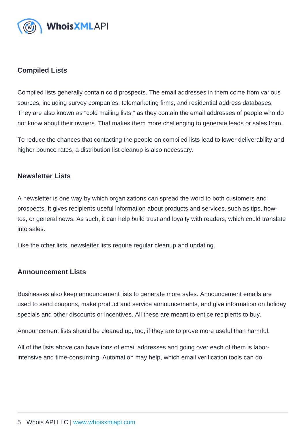#### Compiled Lists

Compiled lists generally contain cold prospects. The email addresses in them come from various sources, including survey companies, telemarketing firms, and residential address databases. They are also known as "cold mailing lists," as they contain the email addresses of people who do not know about their owners. That makes them more challenging to generate leads or sales from.

To reduce the chances that contacting the people on compiled lists lead to lower deliverability and higher bounce rates, a distribution list cleanup is also necessary.

#### Newsletter Lists

A newsletter is one way by which organizations can spread the word to both customers and prospects. It gives recipients useful information about products and services, such as tips, howtos, or general news. As such, it can help build trust and loyalty with readers, which could translate into sales.

Like the other lists, newsletter lists require regular cleanup and updating.

#### Announcement Lists

Businesses also keep announcement lists to generate more sales. Announcement emails are used to send coupons, make product and service announcements, and give information on holiday specials and other discounts or incentives. All these are meant to entice recipients to buy.

Announcement lists should be cleaned up, too, if they are to prove more useful than harmful.

All of the lists above can have tons of email addresses and going over each of them is laborintensive and time-consuming. Automation may help, which email verification tools can do.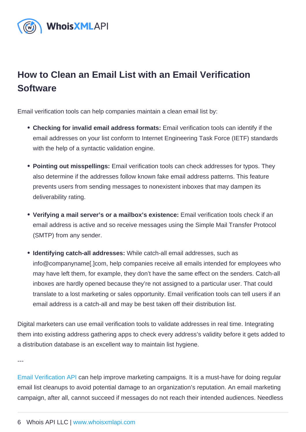# How to Clean an Email List with an Email Verification **Software**

Email verification tools can help companies maintain a clean email list by:

- Checking for invalid email address formats: Email verification tools can identify if the email addresses on your list conform to Internet Engineering Task Force (IETF) standards with the help of a syntactic validation engine.
- Pointing out misspellings: Email verification tools can check addresses for typos. They also determine if the addresses follow known fake email address patterns. This feature prevents users from sending messages to nonexistent inboxes that may dampen its deliverability rating.
- Verifying a mail server's or a mailbox's existence: Email verification tools check if an email address is active and so receive messages using the Simple Mail Transfer Protocol (SMTP) from any sender.
- Identifying catch-all addresses: While catch-all email addresses, such as info@companyname[.]com, help companies receive all emails intended for employees who may have left them, for example, they don't have the same effect on the senders. Catch-all inboxes are hardly opened because they're not assigned to a particular user. That could translate to a lost marketing or sales opportunity. Email verification tools can tell users if an email address is a catch-all and may be best taken off their distribution list.

Digital marketers can use email verification tools to validate addresses in real time. Integrating them into existing address gathering apps to check every address's validity before it gets added to a distribution database is an excellent way to maintain list hygiene.

---

[Email Verification API](https://emailverification.whoisxmlapi.com/api) can help improve marketing campaigns. It is a must-have for doing regular email list cleanups to avoid potential damage to an organization's reputation. An email marketing campaign, after all, cannot succeed if messages do not reach their intended audiences. Needless